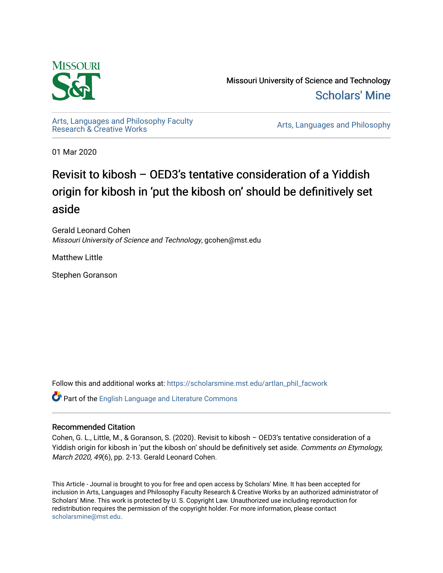

Missouri University of Science and Technology [Scholars' Mine](https://scholarsmine.mst.edu/) 

[Arts, Languages and Philosophy Faculty](https://scholarsmine.mst.edu/artlan_phil_facwork) 

Arts, Languages and Philosophy

01 Mar 2020

# Revisit to kibosh – OED3's tentative consideration of a Yiddish origin for kibosh in 'put the kibosh on' should be definitively set aside

Gerald Leonard Cohen Missouri University of Science and Technology, gcohen@mst.edu

Matthew Little

Stephen Goranson

Follow this and additional works at: [https://scholarsmine.mst.edu/artlan\\_phil\\_facwork](https://scholarsmine.mst.edu/artlan_phil_facwork?utm_source=scholarsmine.mst.edu%2Fartlan_phil_facwork%2F198&utm_medium=PDF&utm_campaign=PDFCoverPages) 

Part of the [English Language and Literature Commons](http://network.bepress.com/hgg/discipline/455?utm_source=scholarsmine.mst.edu%2Fartlan_phil_facwork%2F198&utm_medium=PDF&utm_campaign=PDFCoverPages)

#### Recommended Citation

Cohen, G. L., Little, M., & Goranson, S. (2020). Revisit to kibosh – OED3's tentative consideration of a Yiddish origin for kibosh in 'put the kibosh on' should be definitively set aside. Comments on Etymology, March 2020, 49(6), pp. 2-13. Gerald Leonard Cohen.

This Article - Journal is brought to you for free and open access by Scholars' Mine. It has been accepted for inclusion in Arts, Languages and Philosophy Faculty Research & Creative Works by an authorized administrator of Scholars' Mine. This work is protected by U. S. Copyright Law. Unauthorized use including reproduction for redistribution requires the permission of the copyright holder. For more information, please contact [scholarsmine@mst.edu.](mailto:scholarsmine@mst.edu)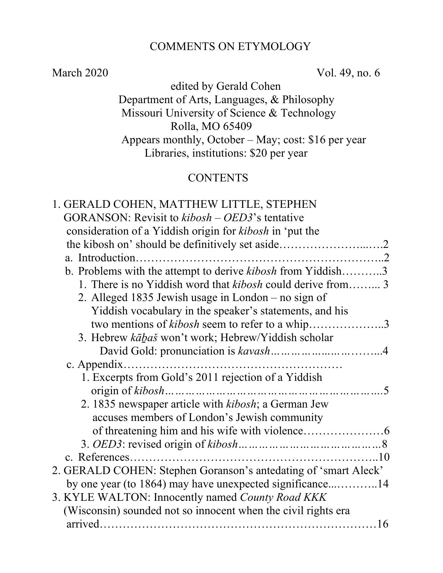#### COMMENTS ON ETYMOLOGY

March 2020 Vol. 49, no. 6

 edited by Gerald Cohen Department of Arts, Languages, & Philosophy Missouri University of Science & Technology Rolla, MO 65409 Appears monthly, October – May; cost: \$16 per year Libraries, institutions: \$20 per year

# **CONTENTS**

| 1. GERALD COHEN, MATTHEW LITTLE, STEPHEN                           |
|--------------------------------------------------------------------|
| GORANSON: Revisit to kibosh – OED3's tentative                     |
| consideration of a Yiddish origin for kibosh in 'put the           |
|                                                                    |
|                                                                    |
| b. Problems with the attempt to derive kibosh from Yiddish3        |
| 1. There is no Yiddish word that <i>kibosh</i> could derive from 3 |
| 2. Alleged 1835 Jewish usage in London – no sign of                |
| Yiddish vocabulary in the speaker's statements, and his            |
| two mentions of kibosh seem to refer to a whip3                    |
| 3. Hebrew kābaš won't work; Hebrew/Yiddish scholar                 |
|                                                                    |
|                                                                    |
| 1. Excerpts from Gold's 2011 rejection of a Yiddish                |
| origin of kibosh<br>5                                              |
| 2. 1835 newspaper article with kibosh; a German Jew                |
| accuses members of London's Jewish community                       |
|                                                                    |
|                                                                    |
|                                                                    |
| 2. GERALD COHEN: Stephen Goranson's antedating of 'smart Aleck'    |
| by one year (to 1864) may have unexpected significance14           |
| 3. KYLE WALTON: Innocently named County Road KKK                   |
| (Wisconsin) sounded not so innocent when the civil rights era      |
|                                                                    |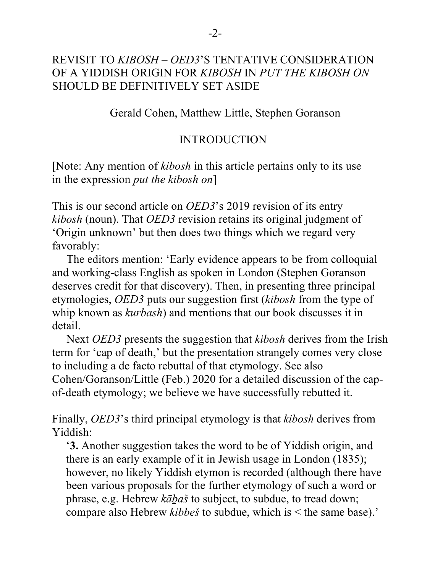### REVISIT TO *KIBOSH* – *OED3*'S TENTATIVE CONSIDERATION OF A YIDDISH ORIGIN FOR *KIBOSH* IN *PUT THE KIBOSH ON*  SHOULD BE DEFINITIVELY SET ASIDE

Gerald Cohen, Matthew Little, Stephen Goranson

#### INTRODUCTION

[Note: Any mention of *kibosh* in this article pertains only to its use in the expression *put the kibosh on*]

This is our second article on *OED3*'s 2019 revision of its entry *kibosh* (noun). That *OED3* revision retains its original judgment of 'Origin unknown' but then does two things which we regard very favorably:

 The editors mention: 'Early evidence appears to be from colloquial and working-class English as spoken in London (Stephen Goranson deserves credit for that discovery). Then, in presenting three principal etymologies, *OED3* puts our suggestion first (*kibosh* from the type of whip known as *kurbash*) and mentions that our book discusses it in detail.

 Next *OED3* presents the suggestion that *kibosh* derives from the Irish term for 'cap of death,' but the presentation strangely comes very close to including a de facto rebuttal of that etymology. See also Cohen/Goranson/Little (Feb.) 2020 for a detailed discussion of the capof-death etymology; we believe we have successfully rebutted it.

Finally, *OED3*'s third principal etymology is that *kibosh* derives from Yiddish:

'**3.** Another suggestion takes the word to be of Yiddish origin, and there is an early example of it in Jewish usage in London (1835); however, no likely Yiddish etymon is recorded (although there have been various proposals for the further etymology of such a word or phrase, e.g. Hebrew *kāḇaš* to subject, to subdue, to tread down; compare also Hebrew *kibbeš* to subdue, which is < the same base).'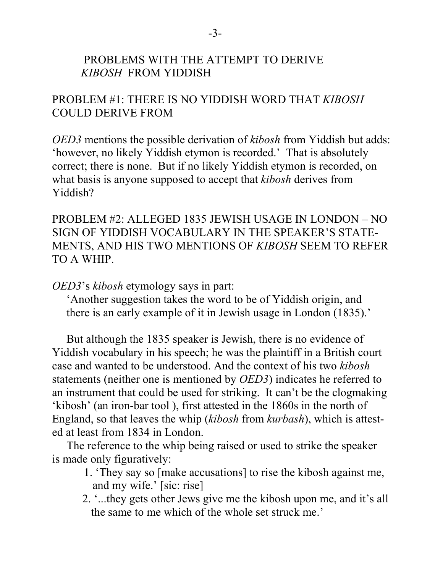#### PROBLEMS WITH THE ATTEMPT TO DERIVE *KIBOSH* FROM YIDDISH

# PROBLEM #1: THERE IS NO YIDDISH WORD THAT *KIBOSH* COULD DERIVE FROM

*OED3* mentions the possible derivation of *kibosh* from Yiddish but adds: 'however, no likely Yiddish etymon is recorded.' That is absolutely correct; there is none. But if no likely Yiddish etymon is recorded, on what basis is anyone supposed to accept that *kibosh* derives from Yiddish?

PROBLEM #2: ALLEGED 1835 JEWISH USAGE IN LONDON – NO SIGN OF YIDDISH VOCABULARY IN THE SPEAKER'S STATE-MENTS, AND HIS TWO MENTIONS OF *KIBOSH* SEEM TO REFER TO A WHIP.

*OED3*'s *kibosh* etymology says in part:

 'Another suggestion takes the word to be of Yiddish origin, and there is an early example of it in Jewish usage in London (1835).'

 But although the 1835 speaker is Jewish, there is no evidence of Yiddish vocabulary in his speech; he was the plaintiff in a British court case and wanted to be understood. And the context of his two *kibosh*  statements (neither one is mentioned by *OED3*) indicates he referred to an instrument that could be used for striking. It can't be the clogmaking 'kibosh' (an iron-bar tool ), first attested in the 1860s in the north of England, so that leaves the whip (*kibosh* from *kurbash*), which is attested at least from 1834 in London.

 The reference to the whip being raised or used to strike the speaker is made only figuratively:

- 1. 'They say so [make accusations] to rise the kibosh against me, and my wife.' [sic: rise]
- 2. '...they gets other Jews give me the kibosh upon me, and it's all the same to me which of the whole set struck me.'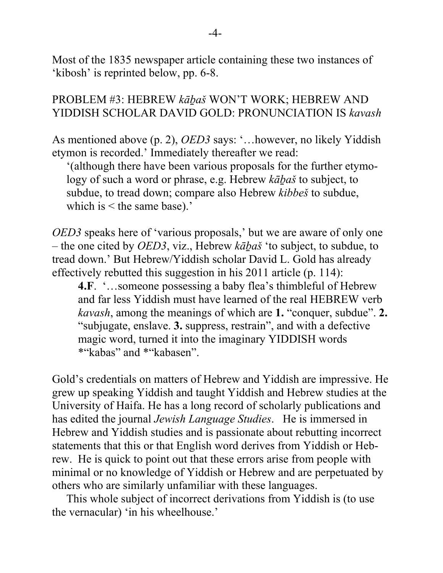Most of the 1835 newspaper article containing these two instances of 'kibosh' is reprinted below, pp. 6-8.

#### PROBLEM #3: HEBREW *kāḇaš* WON'T WORK; HEBREW AND YIDDISH SCHOLAR DAVID GOLD: PRONUNCIATION IS *kavash*

As mentioned above (p. 2), *OED3* says: '…however, no likely Yiddish etymon is recorded.' Immediately thereafter we read:

 '(although there have been various proposals for the further etymo logy of such a word or phrase, e.g. Hebrew *kābaš* to subject, to subdue, to tread down; compare also Hebrew *kibbeš* to subdue, which is < the same base).'

*OED3* speaks here of 'various proposals,' but we are aware of only one – the one cited by *OED3*, viz., Hebrew *kāḇaš* 'to subject, to subdue, to tread down.' But Hebrew/Yiddish scholar David L. Gold has already effectively rebutted this suggestion in his 2011 article (p. 114):

**4.F**. '…someone possessing a baby flea's thimbleful of Hebrew and far less Yiddish must have learned of the real HEBREW verb *kavash*, among the meanings of which are **1.** "conquer, subdue". **2.** "subjugate, enslave. **3.** suppress, restrain", and with a defective magic word, turned it into the imaginary YIDDISH words \*"kabas" and \*"kabasen".

Gold's credentials on matters of Hebrew and Yiddish are impressive. He grew up speaking Yiddish and taught Yiddish and Hebrew studies at the University of Haifa. He has a long record of scholarly publications and has edited the journal *Jewish Language Studies*. He is immersed in Hebrew and Yiddish studies and is passionate about rebutting incorrect statements that this or that English word derives from Yiddish or Hebrew. He is quick to point out that these errors arise from people with minimal or no knowledge of Yiddish or Hebrew and are perpetuated by others who are similarly unfamiliar with these languages.

 This whole subject of incorrect derivations from Yiddish is (to use the vernacular) 'in his wheelhouse.'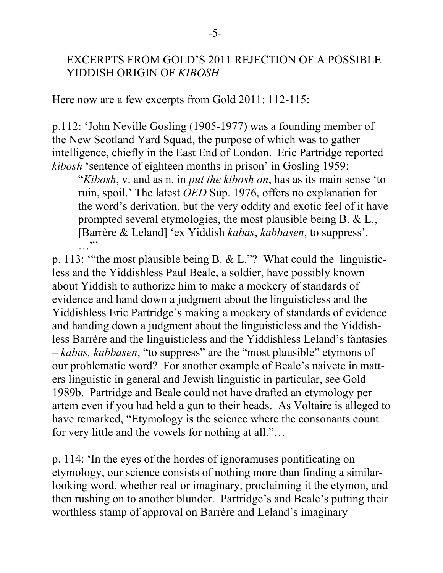#### EXCERPTS FROM GOLD'S 2011 REJECTION OF A POSSIBLE YIDDISH ORIGIN OF *KIBOSH*

Here now are a few excerpts from Gold 2011: 112-115:

p.112: 'John Neville Gosling (1905-1977) was a founding member of the New Scotland Yard Squad, the purpose of which was to gather intelligence, chiefly in the East End of London. Eric Partridge reported *kibosh* 'sentence of eighteen months in prison' in Gosling 1959:

"*Kibosh*, v. and as n. in *put the kibosh on*, has as its main sense 'to ruin, spoil.' The latest *OED* Sup. 1976, offers no explanation for the word's derivation, but the very oddity and exotic feel of it have prompted several etymologies, the most plausible being B. & L., [Barrère & Leland] 'ex Yiddish *kabas*, *kabbasen*, to suppress'. …"

p. 113: '"the most plausible being B. & L."? What could the linguisticless and the Yiddishless Paul Beale, a soldier, have possibly known about Yiddish to authorize him to make a mockery of standards of evidence and hand down a judgment about the linguisticless and the Yiddishless Eric Partridge's making a mockery of standards of evidence and handing down a judgment about the linguisticless and the Yiddishless Barrère and the linguisticless and the Yiddishless Leland's fantasies – *kabas, kabbasen*, "to suppress" are the "most plausible" etymons of our problematic word? For another example of Beale's naivete in matters linguistic in general and Jewish linguistic in particular, see Gold 1989b. Partridge and Beale could not have drafted an etymology per artem even if you had held a gun to their heads. As Voltaire is alleged to have remarked, "Etymology is the science where the consonants count for very little and the vowels for nothing at all."…

p. 114: 'In the eyes of the hordes of ignoramuses pontificating on etymology, our science consists of nothing more than finding a similarlooking word, whether real or imaginary, proclaiming it the etymon, and then rushing on to another blunder. Partridge's and Beale's putting their worthless stamp of approval on Barrère and Leland's imaginary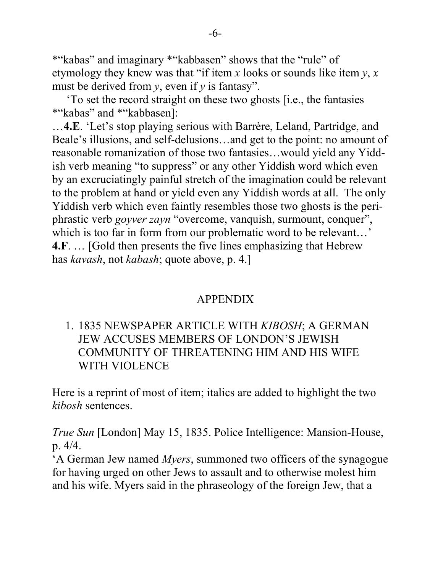\*"kabas" and imaginary \*"kabbasen" shows that the "rule" of etymology they knew was that "if item *x* looks or sounds like item *y*, *x* must be derived from *y*, even if *y* is fantasy".

 'To set the record straight on these two ghosts [i.e., the fantasies \*"kabas" and \*"kabbasen]:

…**4.E**. 'Let's stop playing serious with Barrère, Leland, Partridge, and Beale's illusions, and self-delusions…and get to the point: no amount of reasonable romanization of those two fantasies…would yield any Yiddish verb meaning "to suppress" or any other Yiddish word which even by an excruciatingly painful stretch of the imagination could be relevant to the problem at hand or yield even any Yiddish words at all. The only Yiddish verb which even faintly resembles those two ghosts is the periphrastic verb *goyver zayn* "overcome, vanquish, surmount, conquer", which is too far in form from our problematic word to be relevant...' **4.F**. … [Gold then presents the five lines emphasizing that Hebrew has *kavash*, not *kabash*; quote above, p. 4.]

#### APPENDIX

# 1. 1835 NEWSPAPER ARTICLE WITH *KIBOSH*; A GERMAN JEW ACCUSES MEMBERS OF LONDON'S JEWISH COMMUNITY OF THREATENING HIM AND HIS WIFE WITH VIOLENCE

Here is a reprint of most of item; italics are added to highlight the two *kibosh* sentences.

*True Sun* [London] May 15, 1835. Police Intelligence: Mansion-House, p. 4/4.

'A German Jew named *Myers*, summoned two officers of the synagogue for having urged on other Jews to assault and to otherwise molest him and his wife. Myers said in the phraseology of the foreign Jew, that a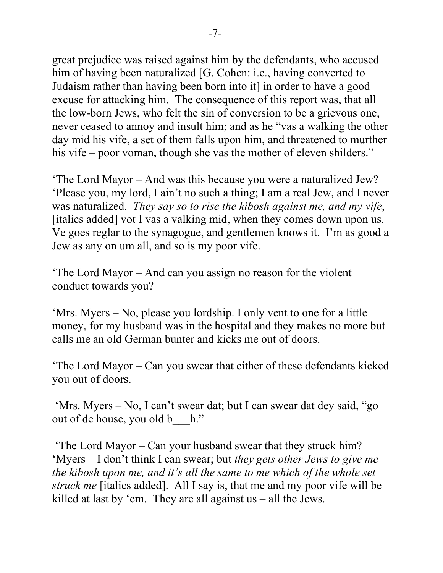great prejudice was raised against him by the defendants, who accused him of having been naturalized [G. Cohen: i.e., having converted to Judaism rather than having been born into it] in order to have a good excuse for attacking him. The consequence of this report was, that all the low-born Jews, who felt the sin of conversion to be a grievous one, never ceased to annoy and insult him; and as he "vas a walking the other day mid his vife, a set of them falls upon him, and threatened to murther his vife – poor voman, though she vas the mother of eleven shilders."

'The Lord Mayor – And was this because you were a naturalized Jew? 'Please you, my lord, I ain't no such a thing; I am a real Jew, and I never was naturalized. *They say so to rise the kibosh against me, and my vife*, [italics added] vot I vas a valking mid, when they comes down upon us. Ve goes reglar to the synagogue, and gentlemen knows it. I'm as good a Jew as any on um all, and so is my poor vife.

'The Lord Mayor – And can you assign no reason for the violent conduct towards you?

'Mrs. Myers – No, please you lordship. I only vent to one for a little money, for my husband was in the hospital and they makes no more but calls me an old German bunter and kicks me out of doors.

'The Lord Mayor – Can you swear that either of these defendants kicked you out of doors.

'Mrs. Myers – No, I can't swear dat; but I can swear dat dey said, "go out of de house, you old b\_\_\_h."

'The Lord Mayor – Can your husband swear that they struck him? 'Myers – I don't think I can swear; but *they gets other Jews to give me the kibosh upon me, and it's all the same to me which of the whole set struck me* [italics added]. All I say is, that me and my poor vife will be killed at last by 'em. They are all against us – all the Jews.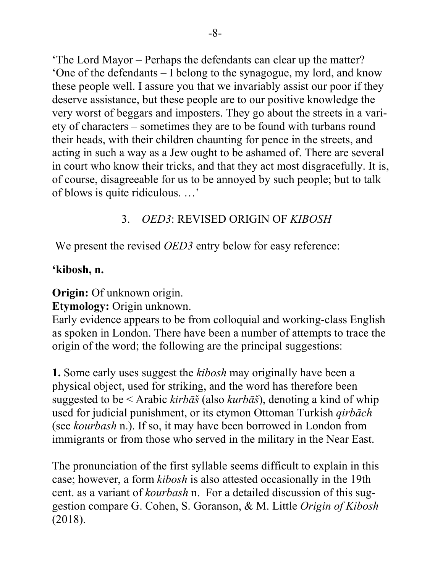'The Lord Mayor – Perhaps the defendants can clear up the matter? 'One of the defendants – I belong to the synagogue, my lord, and know these people well. I assure you that we invariably assist our poor if they deserve assistance, but these people are to our positive knowledge the very worst of beggars and imposters. They go about the streets in a variety of characters – sometimes they are to be found with turbans round their heads, with their children chaunting for pence in the streets, and acting in such a way as a Jew ought to be ashamed of. There are several in court who know their tricks, and that they act most disgracefully. It is, of course, disagreeable for us to be annoyed by such people; but to talk of blows is quite ridiculous. …'

# 3. *OED3*: REVISED ORIGIN OF *KIBOSH*

We present the revised *OED3* entry below for easy reference:

## **'kibosh, n.**

**Origin:** Of unknown origin.

**Etymology:** Origin unknown.

Early evidence appears to be from colloquial and working-class English as spoken in London. There have been a number of attempts to trace the origin of the word; the following are the principal suggestions:

**1.** Some early uses suggest the *kibosh* may originally have been a physical object, used for striking, and the word has therefore been suggested to be < Arabic *kirbāš* (also *kurbāš*), denoting a kind of whip used for judicial punishment, or its etymon Ottoman Turkish *qirbāch* (see *[kourbash](https://www-oed-com.libproxy.mst.edu/view/Entry/104408#eid40056215)* n.). If so, it may have been borrowed in London from immigrants or from those who served in the military in the Near East.

The pronunciation of the first syllable seems difficult to explain in this case; however, a form *kibosh* is also attested occasionally in the 19th cent. as a variant of *[kourbash](https://www-oed-com.libproxy.mst.edu/view/Entry/104408#eid40056215)* n. For a detailed discussion of this suggestion compare G. Cohen, S. Goranson, & M. Little *Origin of Kibosh* (2018).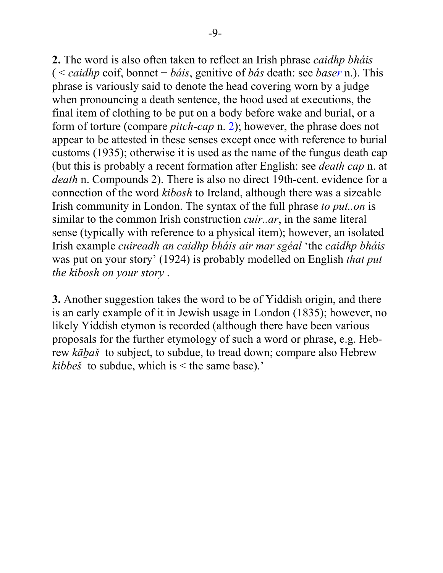**2.** The word is also often taken to reflect an Irish phrase *caidhp bháis* ( < *caidhp* coif, bonnet + *báis*, genitive of *bás* death: see *[base](https://www-oed-com.libproxy.mst.edu/view/Entry/15879#eid26793087)r* n.). This phrase is variously said to denote the head covering worn by a judge when pronouncing a death sentence, the hood used at executions, the final item of clothing to be put on a body before wake and burial, or a form of torture (compare *[pitch](https://www-oed-com.libproxy.mst.edu/view/Entry/144692#eid29856448)-cap* n. 2); however, the phrase does not appear to be attested in these senses except once with reference to burial customs (1935); otherwise it is used as the name of the fungus death cap (but this is probably a recent formation after English: see *[death cap](https://www-oed-com.libproxy.mst.edu/view/Entry/47766#eid7280955)* n. at *death* n. [Compounds 2\)](https://www-oed-com.libproxy.mst.edu/view/Entry/47766#eid7280955). There is also no direct 19th-cent. evidence for a connection of the word *kibosh* to Ireland, although there was a sizeable Irish community in London. The syntax of the full phrase *to put..on* is similar to the common Irish construction *cuir..ar*, in the same literal sense (typically with reference to a physical item); however, an isolated Irish example *cuireadh an caidhp bháis air mar sgéal* 'the *caidhp bháis* was put on your story' (1924) is probably modelled on English *that put the kibosh on your story* .

**3.** Another suggestion takes the word to be of Yiddish origin, and there is an early example of it in Jewish usage in London (1835); however, no likely Yiddish etymon is recorded (although there have been various proposals for the further etymology of such a word or phrase, e.g. Hebrew *kāḇaš* to subject, to subdue, to tread down; compare also Hebrew *kibbeš* to subdue, which is < the same base).'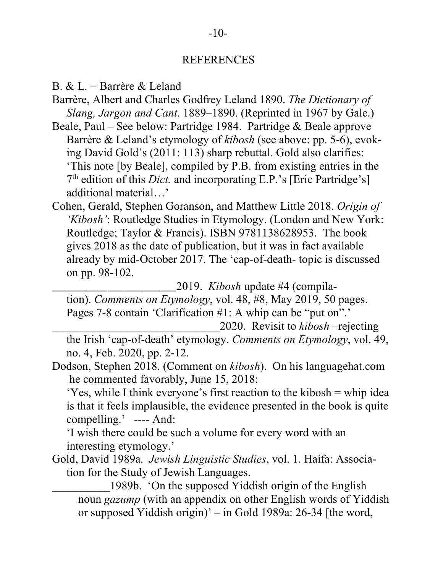#### -10-

#### REFERENCES

- B. & L. = Barrère & Leland
- Barrère, Albert and Charles Godfrey Leland 1890. *The Dictionary of Slang, Jargon and Cant*. 1889–1890. (Reprinted in 1967 by Gale.)
- Beale, Paul See below: Partridge 1984. Partridge & Beale approve Barrère & Leland's etymology of *kibosh* (see above: pp. 5-6), evok ing David Gold's (2011: 113) sharp rebuttal. Gold also clarifies: 'This note [by Beale], compiled by P.B. from existing entries in the 7<sup>th</sup> edition of this *Dict*. and incorporating E.P.'s [Eric Partridge's] additional material…'
- Cohen, Gerald, Stephen Goranson, and Matthew Little 2018. *Origin of 'Kibosh'*: Routledge Studies in Etymology. (London and New York: Routledge; Taylor & Francis). ISBN 9781138628953. The book gives 2018 as the date of publication, but it was in fact available already by mid-October 2017. The 'cap-of-death- topic is discussed on pp. 98-102.

\_\_\_\_\_\_\_\_\_\_\_\_\_\_\_\_\_\_\_\_\_\_\_\_\_\_\_\_\_2019. *Kibosh* update #4 (compila-

 tion). *Comments on Etymology*, vol. 48, #8, May 2019, 50 pages. Pages 7-8 contain 'Clarification #1: A whip can be "put on".' \_\_\_\_\_\_\_\_\_\_\_\_\_\_\_\_\_\_\_\_\_\_\_\_\_\_\_\_\_2020. Revisit to *kibosh* –rejecting

 the Irish 'cap-of-death' etymology. *Comments on Etymology*, vol. 49, no. 4, Feb. 2020, pp. 2-12.

Dodson, Stephen 2018. (Comment on *kibosh*). On his languagehat.com he commented favorably, June 15, 2018:

 'Yes, while I think everyone's first reaction to the kibosh = whip idea is that it feels implausible, the evidence presented in the book is quite compelling.' ---- And:

 'I wish there could be such a volume for every word with an interesting etymology.'

Gold, David 1989a. *Jewish Linguistic Studies*, vol. 1. Haifa: Associa tion for the Study of Jewish Languages.

1989b. 'On the supposed Yiddish origin of the English noun *gazump* (with an appendix on other English words of Yiddish or supposed Yiddish origin)' – in Gold 1989a: 26-34 [the word,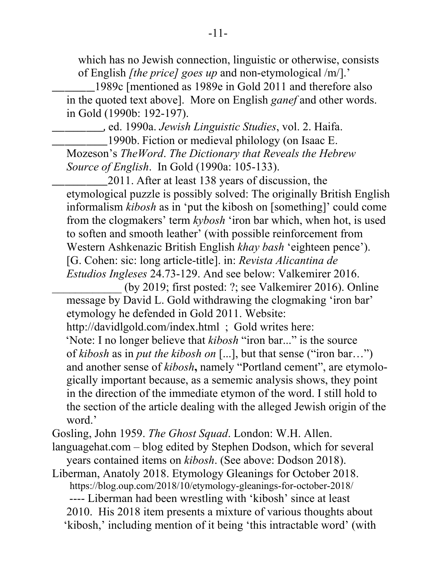which has no Jewish connection, linguistic or otherwise, consists of English *[the price] goes up* and non-etymological /m/].'

\_\_\_\_\_\_\_\_\_\_1989c [mentioned as 1989e in Gold 2011 and therefore also in the quoted text above]. More on English *ganef* and other words. in Gold (1990b: 192-197).

\_\_\_\_\_\_\_\_\_\_\_\_, ed. 1990a. *Jewish Linguistic Studies*, vol. 2. Haifa.

\_\_\_\_\_\_\_\_\_\_\_\_\_1990b. Fiction or medieval philology (on Isaac E. Mozeson's *TheWord*. *The Dictionary that Reveals the Hebrew Source of English*. In Gold (1990a: 105-133).

\_\_\_\_\_\_\_\_\_\_\_\_\_2011. After at least 138 years of discussion, the etymological puzzle is possibly solved: The originally British English informalism *kibosh* as in 'put the kibosh on [something]' could come from the clogmakers' term *kybosh* 'iron bar which, when hot, is used to soften and smooth leather' (with possible reinforcement from Western Ashkenazic British English *khay bash* 'eighteen pence'). [G. Cohen: sic: long article-title]. in: *Revista Alicantina de Estudios Ingleses* 24.73-129. And see below: Valkemirer 2016.

(by 2019; first posted: ?; see Valkemirer 2016). Online message by David L. Gold withdrawing the clogmaking 'iron bar' etymology he defended in Gold 2011. Website:

<http://davidlgold.com/index.html> ; Gold writes here:

'Note: I no longer believe that *kibosh* "iron bar..." is the source of *kibosh* as in *put the kibosh on* [...], but that sense ("iron bar…") and another sense of *kibosh***,** namely "Portland cement", are etymolo gically important because, as a sememic analysis shows, they point in the direction of the immediate etymon of the word. I still hold to the section of the article dealing with the alleged Jewish origin of the word.'

Gosling, John 1959. *The Ghost Squad*. London: W.H. Allen.

languagehat.com – blog edited by Stephen Dodson, which for several years contained items on *kibosh*. (See above: Dodson 2018).

Liberman, Anatoly 2018. Etymology Gleanings for October 2018. https://blog.oup.com/2018/10/etymology-gleanings-for-october-2018/ ---- Liberman had been wrestling with 'kibosh' since at least 2010. His 2018 item presents a mixture of various thoughts about 'kibosh,' including mention of it being 'this intractable word' (with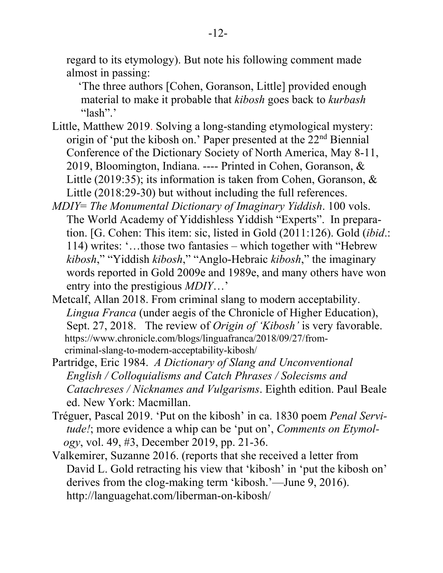regard to its etymology). But note his following comment made almost in passing:

'The three authors [Cohen, Goranson, Little] provided enough material to make it probable that *kibosh* goes back to *kurbash* "lash".'

- Little, Matthew 2019. Solving a long-standing etymological mystery: origin of 'put the kibosh on.' Paper presented at the 22<sup>nd</sup> Biennial Conference of the Dictionary Society of North America, May 8-11, 2019, Bloomington, Indiana. ---- Printed in Cohen, Goranson, & Little (2019:35); its information is taken from Cohen, Goranson, & Little (2018:29-30) but without including the full references.
- *MDIY*= *The Monumental Dictionary of Imaginary Yiddish*. 100 vols. The World Academy of Yiddishless Yiddish "Experts". In prepara tion. [G. Cohen: This item: sic, listed in Gold (2011:126). Gold (*ibid*.: 114) writes: '…those two fantasies – which together with "Hebrew *kibosh*," "Yiddish *kibosh*," "Anglo-Hebraic *kibosh*," the imaginary words reported in Gold 2009e and 1989e, and many others have won entry into the prestigious *MDIY*…'
- Metcalf, Allan 2018. From criminal slang to modern acceptability. *Lingua Franca* (under aegis of the Chronicle of Higher Education), Sept. 27, 2018. The review of *Origin of 'Kibosh'* is very favorable. [https://www.chronicle.com/blogs/linguafranca/2018/09/27/from](https://www.chronicle.com/blogs/linguafranca/2018/09/27/from-) criminal-slang-to-modern-acceptability-kibosh/
- Partridge, Eric 1984. *A Dictionary of Slang and Unconventional English / Colloquialisms and Catch Phrases / Solecisms and Catachreses / Nicknames and Vulgarisms*. Eighth edition. Paul Beale ed. New York: Macmillan.
- Tréguer, Pascal 2019. 'Put on the kibosh' in ca. 1830 poem *Penal Servi tude!*; more evidence a whip can be 'put on', *Comments on Etymol ogy*, vol. 49, #3, December 2019, pp. 21-36.
- Valkemirer, Suzanne 2016. (reports that she received a letter from David L. Gold retracting his view that 'kibosh' in 'put the kibosh on' derives from the clog-making term 'kibosh.'—June 9, 2016). http://languagehat.com/liberman-on-kibosh/